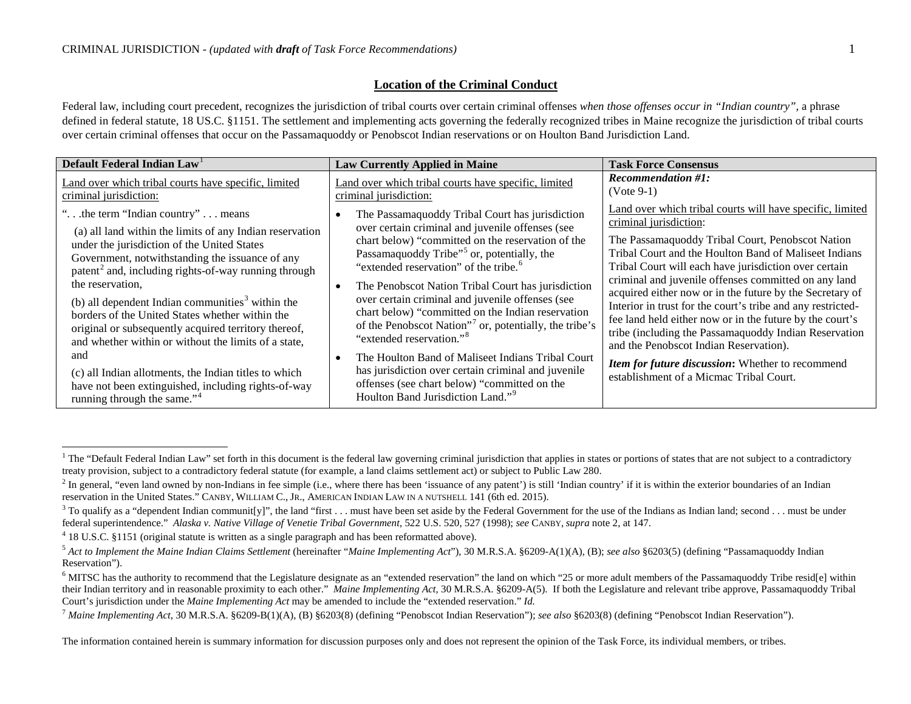## <span id="page-0-9"></span><span id="page-0-8"></span><span id="page-0-7"></span><span id="page-0-6"></span><span id="page-0-5"></span><span id="page-0-4"></span><span id="page-0-3"></span><span id="page-0-2"></span><span id="page-0-1"></span>**Location of the Criminal Conduct**

Federal law, including court precedent, recognizes the jurisdiction of tribal courts over certain criminal offenses *when those offenses occur in "Indian country*", a phrase defined in federal statute, 18 US.C. §1151. The settlement and implementing acts governing the federally recognized tribes in Maine recognize the jurisdiction of tribal courts over certain criminal offenses that occur on the Passamaquoddy or Penobscot Indian reservations or on Houlton Band Jurisdiction Land.

<span id="page-0-0"></span>

| Default Federal Indian Law                                                                                                                                                                                                                                                                                                                                                                                                                                                                                                                                                                                                                                                                                      | <b>Law Currently Applied in Maine</b>                                                                                                                                                                                                                                                                                                                                                                                                                                                                                                                                                                                                                                                                                                                 | <b>Task Force Consensus</b>                                                                                                                                                                                                                                                                                                                                                                                                                                                                                                                                                                                                                                                                                |
|-----------------------------------------------------------------------------------------------------------------------------------------------------------------------------------------------------------------------------------------------------------------------------------------------------------------------------------------------------------------------------------------------------------------------------------------------------------------------------------------------------------------------------------------------------------------------------------------------------------------------------------------------------------------------------------------------------------------|-------------------------------------------------------------------------------------------------------------------------------------------------------------------------------------------------------------------------------------------------------------------------------------------------------------------------------------------------------------------------------------------------------------------------------------------------------------------------------------------------------------------------------------------------------------------------------------------------------------------------------------------------------------------------------------------------------------------------------------------------------|------------------------------------------------------------------------------------------------------------------------------------------------------------------------------------------------------------------------------------------------------------------------------------------------------------------------------------------------------------------------------------------------------------------------------------------------------------------------------------------------------------------------------------------------------------------------------------------------------------------------------------------------------------------------------------------------------------|
| Land over which tribal courts have specific, limited<br>criminal jurisdiction:                                                                                                                                                                                                                                                                                                                                                                                                                                                                                                                                                                                                                                  | Land over which tribal courts have specific, limited<br>criminal jurisdiction:                                                                                                                                                                                                                                                                                                                                                                                                                                                                                                                                                                                                                                                                        | Recommendation #1:<br>$(Note 9-1)$                                                                                                                                                                                                                                                                                                                                                                                                                                                                                                                                                                                                                                                                         |
| " $\ldots$ the term "Indian country" $\ldots$ means"<br>(a) all land within the limits of any Indian reservation<br>under the jurisdiction of the United States<br>Government, notwithstanding the issuance of any<br>patent <sup>2</sup> and, including rights-of-way running through<br>the reservation,<br>(b) all dependent Indian communities <sup>3</sup> within the<br>borders of the United States whether within the<br>original or subsequently acquired territory thereof,<br>and whether within or without the limits of a state,<br>and<br>(c) all Indian allotments, the Indian titles to which<br>have not been extinguished, including rights-of-way<br>running through the same." <sup>4</sup> | The Passamaquoddy Tribal Court has jurisdiction<br>over certain criminal and juvenile offenses (see<br>chart below) "committed on the reservation of the<br>Passamaquoddy Tribe" <sup>5</sup> or, potentially, the<br>"extended reservation" of the tribe."<br>The Penobscot Nation Tribal Court has jurisdiction<br>over certain criminal and juvenile offenses (see<br>chart below) "committed on the Indian reservation<br>of the Penobscot Nation" <sup>7</sup> or, potentially, the tribe's<br>"extended reservation." <sup>8</sup><br>The Houlton Band of Maliseet Indians Tribal Court<br>has jurisdiction over certain criminal and juvenile<br>offenses (see chart below) "committed on the<br>Houlton Band Jurisdiction Land." <sup>9</sup> | Land over which tribal courts will have specific, limited<br>criminal jurisdiction:<br>The Passamaquoddy Tribal Court, Penobscot Nation<br>Tribal Court and the Houlton Band of Maliseet Indians<br>Tribal Court will each have jurisdiction over certain<br>criminal and juvenile offenses committed on any land<br>acquired either now or in the future by the Secretary of<br>Interior in trust for the court's tribe and any restricted-<br>fee land held either now or in the future by the court's<br>tribe (including the Passamaquoddy Indian Reservation<br>and the Penobscot Indian Reservation).<br>Item for future discussion: Whether to recommend<br>establishment of a Micmac Tribal Court. |

<sup>&</sup>lt;sup>1</sup> The "Default Federal Indian Law" set forth in this document is the federal law governing criminal jurisdiction that applies in states or portions of states that are not subject to a contradictory treaty provision, sub

<sup>&</sup>lt;sup>2</sup> In general, "even land owned by non-Indians in fee simple (i.e., where there has been 'issuance of any patent') is still 'Indian country' if it is within the exterior boundaries of an Indian reservation in the United States." CANBY, WILLIAM C., JR., AMERICAN INDIAN LAW IN A NUTSHELL 141 (6th ed. 2015).

 $3$  To qualify as a "dependent Indian communit[y]", the land "first . . . must have been set aside by the Federal Government for the use of the Indians as Indian land; second . . . must be under federal superintendence." *Alaska v. Native Village of Venetie Tribal Government*, 522 U.S. 520, 527 (1998); *see* CANBY, *supra* not[e 2,](#page-0-0) at 147.

<sup>4</sup> 18 U.S.C. §1151 (original statute is written as a single paragraph and has been reformatted above).

<sup>5</sup> *Act to Implement the Maine Indian Claims Settlement* (hereinafter "*Maine Implementing Act*"), 30 M.R.S.A. §6209-A(1)(A), (B); *see also* §6203(5) (defining "Passamaquoddy Indian Reservation").

<sup>&</sup>lt;sup>6</sup> MITSC has the authority to recommend that the Legislature designate as an "extended reservation" the land on which "25 or more adult members of the Passamaquoddy Tribe resid[e] within their Indian territory and in reasonable proximity to each other." *Maine Implementing Act,* 30 M.R.S.A. §6209-A(5). If both the Legislature and relevant tribe approve, Passamaquoddy Tribal Court's jurisdiction under the *Maine Implementing Act* may be amended to include the "extended reservation." *Id.*

<sup>7</sup> *Maine Implementing Act*, 30 M.R.S.A. §6209-B(1)(A), (B) §6203(8) (defining "Penobscot Indian Reservation"); *see also* §6203(8) (defining "Penobscot Indian Reservation").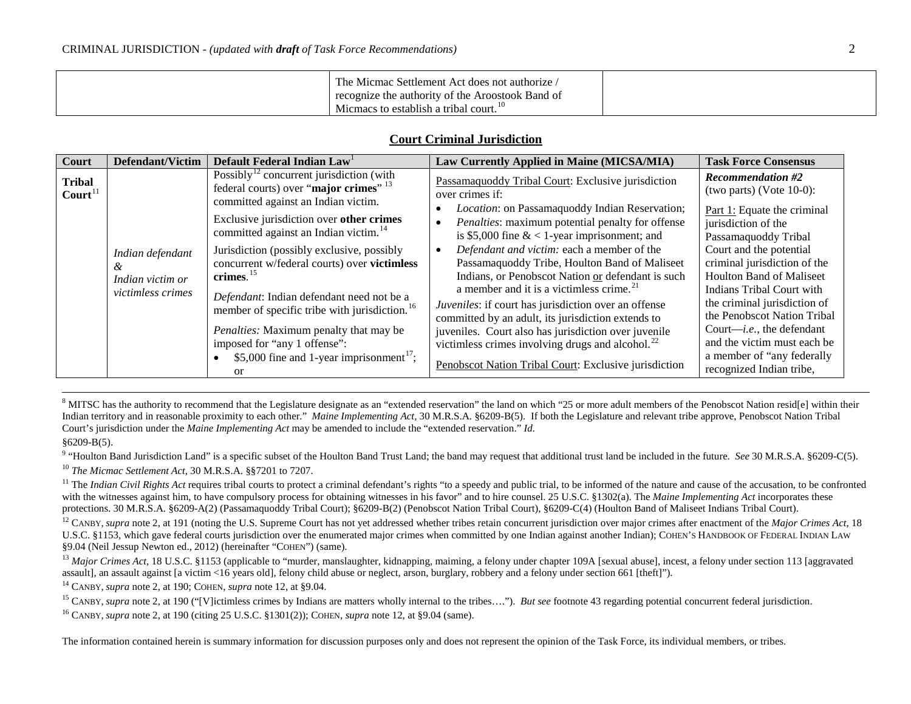| The Micmac Settlement Act does not authorize /   |  |
|--------------------------------------------------|--|
| recognize the authority of the Aroostook Band of |  |
| Micmacs to establish a tribal court.             |  |

## <span id="page-1-10"></span><span id="page-1-9"></span><span id="page-1-8"></span><span id="page-1-7"></span><span id="page-1-6"></span><span id="page-1-5"></span><span id="page-1-4"></span><span id="page-1-3"></span><span id="page-1-2"></span><span id="page-1-1"></span><span id="page-1-0"></span>**Court Criminal Jurisdiction**

| Court                                | Defendant/Victim                                               | Default Federal Indian Law                                                                                                                 | Law Currently Applied in Maine (MICSA/MIA)                                                                                                                                                               | <b>Task Force Consensus</b>                                                                                      |
|--------------------------------------|----------------------------------------------------------------|--------------------------------------------------------------------------------------------------------------------------------------------|----------------------------------------------------------------------------------------------------------------------------------------------------------------------------------------------------------|------------------------------------------------------------------------------------------------------------------|
| <b>Tribal</b><br>$\text{Count}^{11}$ |                                                                | Possibly <sup>12</sup> concurrent jurisdiction (with<br>federal courts) over "major crimes" $^{13}$<br>committed against an Indian victim. | Passamaquoddy Tribal Court: Exclusive jurisdiction<br>over crimes if:                                                                                                                                    | <b>Recommendation #2</b><br>(two parts) (Vote $10-0$ ):                                                          |
|                                      |                                                                | Exclusive jurisdiction over other crimes<br>committed against an Indian victim. <sup>14</sup>                                              | <i>Location:</i> on Passamaquoddy Indian Reservation;<br>Penalties: maximum potential penalty for offense<br>is \$5,000 fine $< 1$ -year imprisonment; and                                               | Part 1: Equate the criminal<br>jurisdiction of the<br>Passamaquoddy Tribal                                       |
|                                      | Indian defendant<br>ά<br>Indian victim or<br>victimless crimes | Jurisdiction (possibly exclusive, possibly<br>concurrent w/federal courts) over victimless<br>crimes. $15$                                 | Defendant and victim: each a member of the<br>Passamaquoddy Tribe, Houlton Band of Maliseet<br>Indians, or Penobscot Nation or defendant is such<br>a member and it is a victimless crime. <sup>21</sup> | Court and the potential<br>criminal jurisdiction of the<br>Houlton Band of Maliseet<br>Indians Tribal Court with |
|                                      |                                                                | Defendant: Indian defendant need not be a<br>member of specific tribe with jurisdiction. <sup>16</sup>                                     | Juveniles: if court has jurisdiction over an offense<br>committed by an adult, its jurisdiction extends to                                                                                               | the criminal jurisdiction of<br>the Penobscot Nation Tribal                                                      |
|                                      |                                                                | Penalties: Maximum penalty that may be<br>imposed for "any 1 offense":                                                                     | juveniles. Court also has jurisdiction over juvenile<br>victimless crimes involving drugs and alcohol. $^{22}$                                                                                           | Court— <i>i.e.</i> , the defendant<br>and the victim must each be                                                |
|                                      |                                                                | \$5,000 fine and 1-year imprisonment <sup>17</sup> ;<br>or                                                                                 | Penobscot Nation Tribal Court: Exclusive jurisdiction                                                                                                                                                    | a member of "any federally"<br>recognized Indian tribe,                                                          |

<sup>8</sup> MITSC has the authority to recommend that the Legislature designate as an "extended reservation" the land on which "25 or more adult members of the Penobscot Nation resid[e] within their Indian territory and in reasonable proximity to each other." *Maine Implementing Act,* 30 M.R.S.A. §6209-B(5). If both the Legislature and relevant tribe approve, Penobscot Nation Tribal Court's jurisdiction under the *Maine Implementing Act* may be amended to include the "extended reservation." *Id.* §6209-B(5).

<sup>9</sup> "Houlton Band Jurisdiction Land" is a specific subset of the Houlton Band Trust Land; the band may request that additional trust land be included in the future. *See* 30 M.R.S.A. §6209-C(5). <sup>10</sup> *The Micmac Settlement Act*, 30 M.R.S.A. §§7201 to 7207.

<sup>11</sup> The *Indian Civil Rights Act* requires tribal courts to protect a criminal defendant's rights "to a speedy and public trial, to be informed of the nature and cause of the accusation, to be confronted with the witnesses against him, to have compulsory process for obtaining witnesses in his favor" and to hire counsel. 25 U.S.C. §1302(a). The *Maine Implementing Act* incorporates these protections. 30 M.R.S.A. §6209-A(2) (Passamaquoddy Tribal Court); §6209-B(2) (Penobscot Nation Tribal Court), §6209-C(4) (Houlton Band of Maliseet Indians Tribal Court).

<sup>12</sup> CANBY, *supra* not[e 2,](#page-0-0) at 191 (noting the U.S. Supreme Court has not yet addressed whether tribes retain concurrent jurisdiction over major crimes after enactment of the *Major Crimes Act*, 18 U.S.C. §1153, which gave federal courts jurisdiction over the enumerated major crimes when committed by one Indian against another Indian); COHEN'S HANDBOOK OF FEDERAL INDIAN LAW §9.04 (Neil Jessup Newton ed., 2012) (hereinafter "COHEN") (same).

<sup>13</sup> Major Crimes Act, 18 U.S.C. §1153 (applicable to "murder, manslaughter, kidnapping, maiming, a felony under chapter 109A [sexual abuse], incest, a felony under section 113 [aggravated] assault], an assault against [a victim <16 years old], felony child abuse or neglect, arson, burglary, robbery and a felony under section 661 [theft]").<br><sup>14</sup> CANBY, *supra* not[e 2,](#page-0-0) at 190; COHEN, *supra* note [12,](#page-1-0) at §9.04.

<sup>15</sup> CANBY, *supra* not[e 2,](#page-0-0) at 190 ("[V]ictimless crimes by Indians are matters wholly internal to the tribes..."). *But see* footnot[e 43](#page-5-0) regarding potential concurrent federal jurisdiction.

<sup>16</sup> CANBY, *supra* not[e 2,](#page-0-0) at 190 (citing 25 U.S.C. §1301(2)); COHEN, *supra* note [12,](#page-1-0) at §9.04 (same).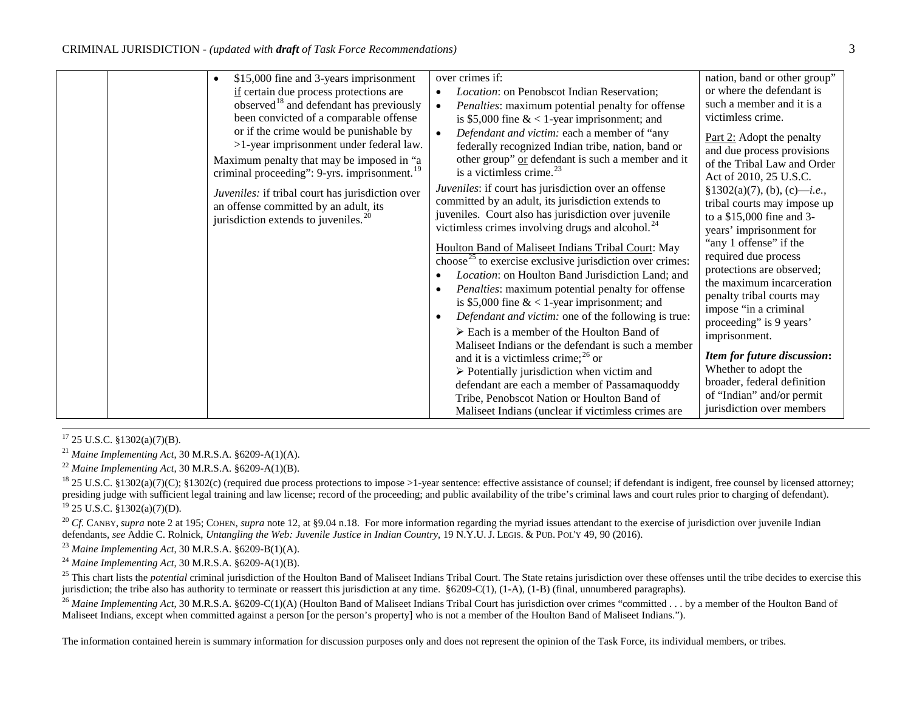<span id="page-2-6"></span><span id="page-2-5"></span><span id="page-2-4"></span><span id="page-2-3"></span><span id="page-2-2"></span><span id="page-2-1"></span><span id="page-2-0"></span>

|  |                                                          | over crimes if:                                                      |                                         |
|--|----------------------------------------------------------|----------------------------------------------------------------------|-----------------------------------------|
|  | \$15,000 fine and 3-years imprisonment                   |                                                                      | nation, band or other group"            |
|  | if certain due process protections are                   | <i>Location:</i> on Penobscot Indian Reservation;<br>$\bullet$       | or where the defendant is               |
|  | observed <sup>18</sup> and defendant has previously      | Penalties: maximum potential penalty for offense<br>$\bullet$        | such a member and it is a               |
|  | been convicted of a comparable offense                   | is \$5,000 fine $< 1$ -year imprisonment; and                        | victimless crime.                       |
|  | or if the crime would be punishable by                   | Defendant and victim: each a member of "any<br>$\bullet$             | Part 2: Adopt the penalty               |
|  | >1-year imprisonment under federal law.                  | federally recognized Indian tribe, nation, band or                   | and due process provisions              |
|  | Maximum penalty that may be imposed in "a                | other group" or defendant is such a member and it                    | of the Tribal Law and Order             |
|  | criminal proceeding": 9-yrs. imprisonment. <sup>19</sup> | is a victimless crime. $^{23}$                                       |                                         |
|  |                                                          |                                                                      | Act of 2010, 25 U.S.C.                  |
|  | Juveniles: if tribal court has jurisdiction over         | Juveniles: if court has jurisdiction over an offense                 | $§1302(a)(7), (b), (c)$ — <i>i.e.</i> , |
|  | an offense committed by an adult, its                    | committed by an adult, its jurisdiction extends to                   | tribal courts may impose up             |
|  | jurisdiction extends to juveniles. $^{20}$               | juveniles. Court also has jurisdiction over juvenile                 | to a \$15,000 fine and 3-               |
|  |                                                          | victimless crimes involving drugs and alcohol. <sup>24</sup>         | years' imprisonment for                 |
|  |                                                          | Houlton Band of Maliseet Indians Tribal Court: May                   | "any 1 offense" if the                  |
|  |                                                          | choose <sup>25</sup> to exercise exclusive jurisdiction over crimes: | required due process                    |
|  |                                                          |                                                                      | protections are observed;               |
|  |                                                          | Location: on Houlton Band Jurisdiction Land; and                     | the maximum incarceration               |
|  |                                                          | Penalties: maximum potential penalty for offense                     | penalty tribal courts may               |
|  |                                                          | is \$5,000 fine $< 1$ -year imprisonment; and                        | impose "in a criminal                   |
|  |                                                          | Defendant and victim: one of the following is true:                  | proceeding" is 9 years'                 |
|  |                                                          | $\triangleright$ Each is a member of the Houlton Band of             |                                         |
|  |                                                          | Maliseet Indians or the defendant is such a member                   | imprisonment.                           |
|  |                                                          | and it is a victimless crime; $^{26}$ or                             | <b>Item for future discussion:</b>      |
|  |                                                          | $\triangleright$ Potentially jurisdiction when victim and            | Whether to adopt the                    |
|  |                                                          |                                                                      | broader, federal definition             |
|  |                                                          | defendant are each a member of Passamaquoddy                         | of "Indian" and/or permit               |
|  |                                                          | Tribe, Penobscot Nation or Houlton Band of                           |                                         |
|  |                                                          | Maliseet Indians (unclear if victimless crimes are                   | jurisdiction over members               |

 $17$  25 U.S.C.  $$1302(a)(7)(B)$ .

<sup>21</sup> *Maine Implementing Act*, 30 M.R.S.A. §6209-A(1)(A).

<sup>22</sup> *Maine Implementing Act*, 30 M.R.S.A. §6209-A(1)(B).

<sup>18</sup> 25 U.S.C. §1302(a)(7)(C); §1302(c) (required due process protections to impose >1-year sentence: effective assistance of counsel; if defendant is indigent, free counsel by licensed attorney; presiding judge with sufficient legal training and law license; record of the proceeding; and public availability of the tribe's criminal laws and court rules prior to charging of defendant). <sup>19</sup> 25 U.S.C. §1302(a)(7)(D).

<sup>20</sup> *Cf.* CANBY, *supra* not[e 2](#page-0-0) at 195; COHEN, *supra* note [12,](#page-1-0) at §9.04 n.18. For more information regarding the myriad issues attendant to the exercise of jurisdiction over juvenile Indian defendants, *see* Addie C. Rolnick, *Untangling the Web: Juvenile Justice in Indian Country*, 19 N.Y.U. J. LEGIS. & PUB. POL'Y 49, 90 (2016).

<sup>23</sup> *Maine Implementing Act*, 30 M.R.S.A. §6209-B(1)(A).

<sup>24</sup> *Maine Implementing Act*, 30 M.R.S.A. §6209-A(1)(B).

<sup>25</sup> This chart lists the *potential* criminal jurisdiction of the Houlton Band of Maliseet Indians Tribal Court. The State retains jurisdiction over these offenses until the tribe decides to exercise this jurisdiction; the tribe also has authority to terminate or reassert this jurisdiction at any time. §6209-C(1), (1-A), (1-B) (final, unnumbered paragraphs).

<sup>26</sup> Maine Implementing Act, 30 M.R.S.A. §6209-C(1)(A) (Houlton Band of Maliseet Indians Tribal Court has jurisdiction over crimes "committed . . . by a member of the Houlton Band of Maliseet Indians, except when committed against a person [or the person's property] who is not a member of the Houlton Band of Maliseet Indians.").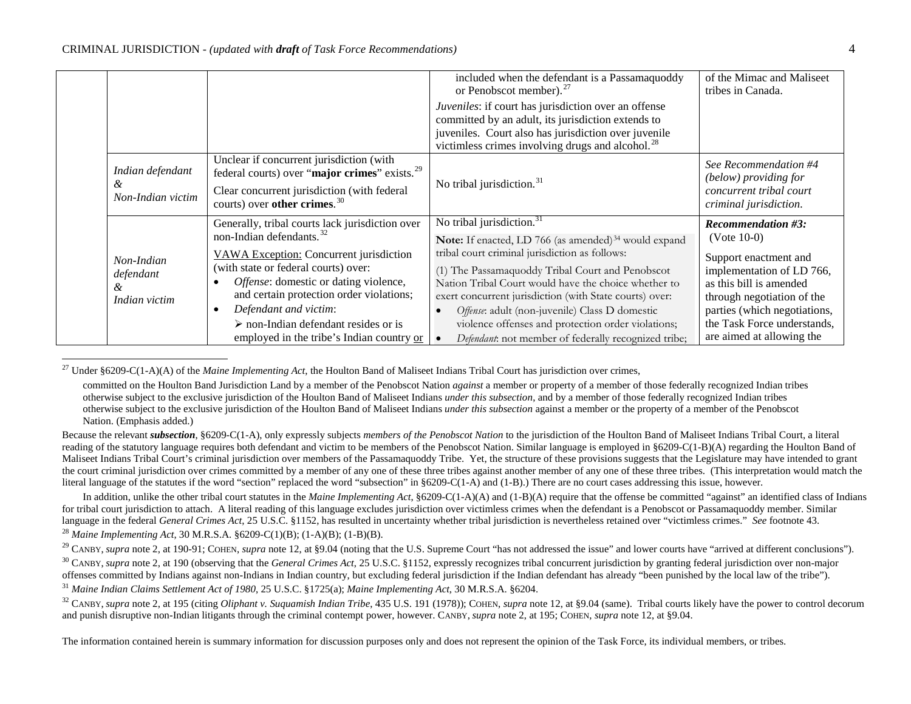<span id="page-3-7"></span><span id="page-3-6"></span><span id="page-3-5"></span><span id="page-3-4"></span><span id="page-3-3"></span><span id="page-3-2"></span><span id="page-3-1"></span><span id="page-3-0"></span>

|                                               |                                                                                                                                                                                                                                                                                                                                                                                              | included when the defendant is a Passamaquoddy<br>or Penobscot member). $^{27}$                                                                                                                                                                                                                                                                                                                                                                                                                        | of the Mimac and Maliseet<br>tribes in Canada.                                                                                                                                                                                                        |
|-----------------------------------------------|----------------------------------------------------------------------------------------------------------------------------------------------------------------------------------------------------------------------------------------------------------------------------------------------------------------------------------------------------------------------------------------------|--------------------------------------------------------------------------------------------------------------------------------------------------------------------------------------------------------------------------------------------------------------------------------------------------------------------------------------------------------------------------------------------------------------------------------------------------------------------------------------------------------|-------------------------------------------------------------------------------------------------------------------------------------------------------------------------------------------------------------------------------------------------------|
|                                               |                                                                                                                                                                                                                                                                                                                                                                                              | Juveniles: if court has jurisdiction over an offense<br>committed by an adult, its jurisdiction extends to<br>juveniles. Court also has jurisdiction over juvenile<br>victimless crimes involving drugs and alcohol. <sup>28</sup>                                                                                                                                                                                                                                                                     |                                                                                                                                                                                                                                                       |
| Indian defendant<br>&<br>Non-Indian victim    | Unclear if concurrent jurisdiction (with<br>federal courts) over "major crimes" exists. <sup>29</sup><br>Clear concurrent jurisdiction (with federal<br>courts) over other crimes. $30$                                                                                                                                                                                                      | No tribal jurisdiction. $31$                                                                                                                                                                                                                                                                                                                                                                                                                                                                           | See Recommendation #4<br>(below) providing for<br>concurrent tribal court<br>criminal jurisdiction.                                                                                                                                                   |
| Non-Indian<br>defendant<br>ά<br>Indian victim | Generally, tribal courts lack jurisdiction over<br>non-Indian defendants. <sup>32</sup><br>VAWA Exception: Concurrent jurisdiction<br>(with state or federal courts) over:<br>Offense: domestic or dating violence,<br>and certain protection order violations;<br>Defendant and victim:<br>$\triangleright$ non-Indian defendant resides or is<br>employed in the tribe's Indian country or | No tribal jurisdiction. $31$<br>Note: If enacted, LD 766 (as amended) <sup>34</sup> would expand<br>tribal court criminal jurisdiction as follows:<br>(1) The Passamaquoddy Tribal Court and Penobscot<br>Nation Tribal Court would have the choice whether to<br>exert concurrent jurisdiction (with State courts) over:<br>Offense: adult (non-juvenile) Class D domestic<br>violence offenses and protection order violations;<br>Defendant: not member of federally recognized tribe;<br>$\bullet$ | <b>Recommendation #3:</b><br>$(Note 10-0)$<br>Support enactment and<br>implementation of LD 766,<br>as this bill is amended<br>through negotiation of the<br>parties (which negotiations,<br>the Task Force understands,<br>are aimed at allowing the |

<sup>27</sup> Under §6209-C(1-A)(A) of the *Maine Implementing Act*, the Houlton Band of Maliseet Indians Tribal Court has jurisdiction over crimes,

<span id="page-3-8"></span>committed on the Houlton Band Jurisdiction Land by a member of the Penobscot Nation *against* a member or property of a member of those federally recognized Indian tribes otherwise subject to the exclusive jurisdiction of the Houlton Band of Maliseet Indians *under this subsection*, and by a member of those federally recognized Indian tribes otherwise subject to the exclusive jurisdiction of the Houlton Band of Maliseet Indians *under this subsection* against a member or the property of a member of the Penobscot Nation. (Emphasis added.)

Because the relevant *subsection*, §6209-C(1-A), only expressly subjects *members of the Penobscot Nation* to the jurisdiction of the Houlton Band of Maliseet Indians Tribal Court, a literal reading of the statutory language requires both defendant and victim to be members of the Penobscot Nation. Similar language is employed in §6209-C(1-B)(A) regarding the Houlton Band of Maliseet Indians Tribal Court's criminal jurisdiction over members of the Passamaguoddy Tribe. Yet, the structure of these provisions suggests that the Legislature may have intended to grant the court criminal jurisdiction over crimes committed by a member of any one of these three tribes against another member of any one of these three tribes. (This interpretation would match the literal language of the statutes if the word "section" replaced the word "subsection" in §6209-C(1-A) and (1-B).) There are no court cases addressing this issue, however.

In addition, unlike the other tribal court statutes in the *Maine Implementing Act*, §6209-C(1-A)(A) and (1-B)(A) require that the offense be committed "against" an identified class of Indians for tribal court jurisdiction to attach. A literal reading of this language excludes jurisdiction over victimless crimes when the defendant is a Penobscot or Passamaguoddy member. Similar language in the federal *General Crimes Act*, 25 U.S.C. §1152, has resulted in uncertainty whether tribal jurisdiction is nevertheless retained over "victimless crimes." *See* footnot[e 43.](#page-5-0) <sup>28</sup> *Maine Implementing Act*, 30 M.R.S.A. §6209-C(1)(B); (1-A)(B); (1-B)(B).

<sup>29</sup> CANBY, *supra* not[e 2,](#page-0-0) at 190-91; COHEN, *supra* note [12,](#page-1-0) at §9.04 (noting that the U.S. Supreme Court "has not addressed the issue" and lower courts have "arrived at different conclusions").

<sup>30</sup> CANBY, *supra* not[e 2,](#page-0-0) at 190 (observing that the *General Crimes Act*, 25 U.S.C. §1152, expressly recognizes tribal concurrent jurisdiction by granting federal jurisdiction over non-major offenses committed by Indians against non-Indians in Indian country, but excluding federal jurisdiction if the Indian defendant has already "been punished by the local law of the tribe").

<sup>31</sup> *Maine Indian Claims Settlement Act of 1980*, 25 U.S.C. §1725(a); *Maine Implementing Act*, 30 M.R.S.A. §6204.

<sup>32</sup> CANBY, *supra* not[e 2,](#page-0-0) at 195 (citing *Oliphant v. Suquamish Indian Tribe*, 435 U.S. 191 (1978)); COHEN, *supra* not[e 12,](#page-1-0) at §9.04 (same). Tribal courts likely have the power to control decorum and punish disruptive non-Indian litigants through the criminal contempt power, however. CANBY, *supra* note [2,](#page-0-0) at 195; COHEN, *supra* not[e 12,](#page-1-0) at §9.04.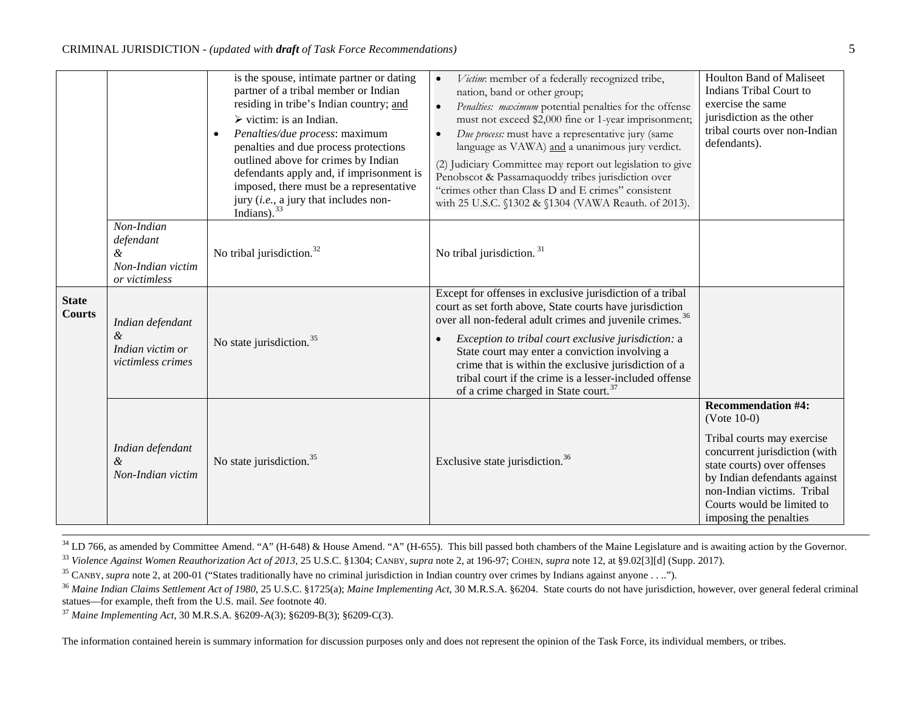<span id="page-4-5"></span><span id="page-4-4"></span><span id="page-4-3"></span><span id="page-4-2"></span><span id="page-4-1"></span>

|                               |                                                                    | is the spouse, intimate partner or dating<br>partner of a tribal member or Indian<br>residing in tribe's Indian country; and<br>$\triangleright$ victim: is an Indian.<br>Penalties/due process: maximum<br>penalties and due process protections<br>outlined above for crimes by Indian<br>defendants apply and, if imprisonment is<br>imposed, there must be a representative<br>jury (i.e., a jury that includes non-<br>Indians). $33$ | Victim: member of a federally recognized tribe,<br>$\bullet$<br>nation, band or other group;<br>Penalties: maximum potential penalties for the offense<br>$\bullet$<br>must not exceed \$2,000 fine or 1-year imprisonment;<br>Due process: must have a representative jury (same<br>$\bullet$<br>language as VAWA) and a unanimous jury verdict.<br>(2) Judiciary Committee may report out legislation to give<br>Penobscot & Passamaquoddy tribes jurisdiction over<br>"crimes other than Class D and E crimes" consistent<br>with 25 U.S.C. §1302 & §1304 (VAWA Reauth. of 2013). | <b>Houlton Band of Maliseet</b><br>Indians Tribal Court to<br>exercise the same<br>jurisdiction as the other<br>tribal courts over non-Indian<br>defendants).                                                                                                  |
|-------------------------------|--------------------------------------------------------------------|--------------------------------------------------------------------------------------------------------------------------------------------------------------------------------------------------------------------------------------------------------------------------------------------------------------------------------------------------------------------------------------------------------------------------------------------|--------------------------------------------------------------------------------------------------------------------------------------------------------------------------------------------------------------------------------------------------------------------------------------------------------------------------------------------------------------------------------------------------------------------------------------------------------------------------------------------------------------------------------------------------------------------------------------|----------------------------------------------------------------------------------------------------------------------------------------------------------------------------------------------------------------------------------------------------------------|
|                               | Non-Indian<br>defendant<br>&<br>Non-Indian victim<br>or victimless | No tribal jurisdiction. <sup>32</sup>                                                                                                                                                                                                                                                                                                                                                                                                      | No tribal jurisdiction. $31$                                                                                                                                                                                                                                                                                                                                                                                                                                                                                                                                                         |                                                                                                                                                                                                                                                                |
| <b>State</b><br><b>Courts</b> | Indian defendant<br>$\&$<br>Indian victim or<br>victimless crimes  | No state jurisdiction. <sup>35</sup>                                                                                                                                                                                                                                                                                                                                                                                                       | Except for offenses in exclusive jurisdiction of a tribal<br>court as set forth above, State courts have jurisdiction<br>over all non-federal adult crimes and juvenile crimes. <sup>36</sup><br>Exception to tribal court exclusive jurisdiction: a<br>$\bullet$<br>State court may enter a conviction involving a<br>crime that is within the exclusive jurisdiction of a<br>tribal court if the crime is a lesser-included offense<br>of a crime charged in State court. <sup>37</sup>                                                                                            |                                                                                                                                                                                                                                                                |
|                               | Indian defendant<br>&<br>Non-Indian victim                         | No state jurisdiction. <sup>35</sup>                                                                                                                                                                                                                                                                                                                                                                                                       | Exclusive state jurisdiction. <sup>36</sup>                                                                                                                                                                                                                                                                                                                                                                                                                                                                                                                                          | <b>Recommendation #4:</b><br>$(Note 10-0)$<br>Tribal courts may exercise<br>concurrent jurisdiction (with<br>state courts) over offenses<br>by Indian defendants against<br>non-Indian victims. Tribal<br>Courts would be limited to<br>imposing the penalties |

<span id="page-4-0"></span><sup>34</sup> LD 766, as amended by Committee Amend. "A" (H-648) & House Amend. "A" (H-655). This bill passed both chambers of the Maine Legislature and is awaiting action by the Governor.<br><sup>33</sup> Violence Against Women Reauthorizati

<sup>35</sup> CANBY, *supra* not[e 2,](#page-0-0) at 200-01 ("States traditionally have no criminal jurisdiction in Indian country over crimes by Indians against anyone . . ..").

<sup>37</sup> Maine Implementing Act, 30 M.R.S.A. §6209-A(3); §6209-B(3); §6209-C(3).

<sup>&</sup>lt;sup>36</sup> Maine Indian Claims Settlement Act of 1980, 25 U.S.C. §1725(a); Maine Implementing Act, 30 M.R.S.A. §6204. State courts do not have jurisdiction, however, over general federal criminal statues—for example, theft from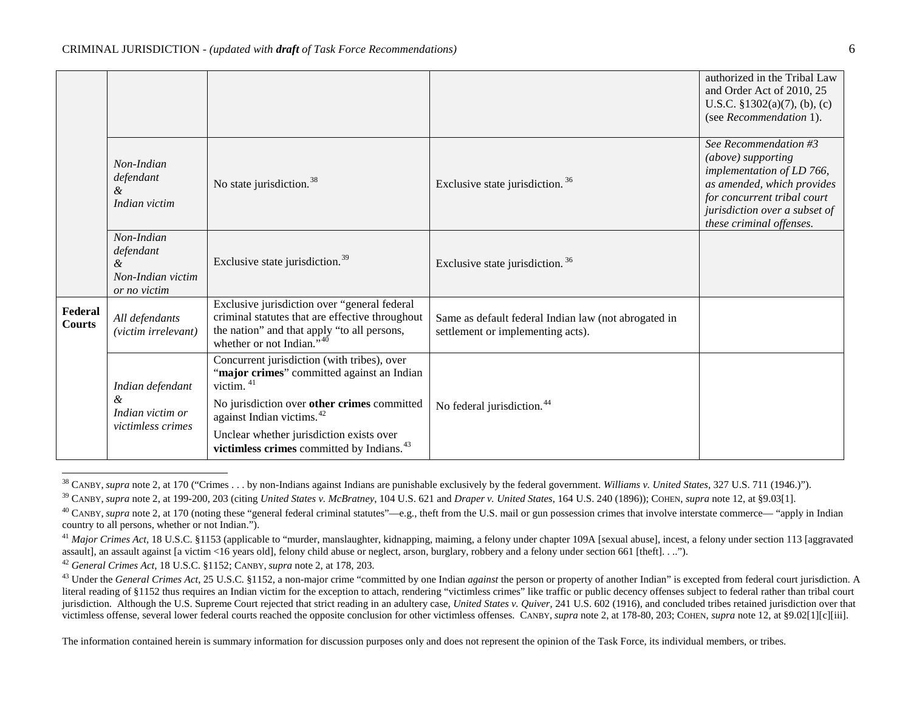<span id="page-5-8"></span><span id="page-5-7"></span><span id="page-5-6"></span><span id="page-5-5"></span><span id="page-5-4"></span><span id="page-5-3"></span><span id="page-5-2"></span>

|                          |                                                                                |                                                                                                                                                                                                                                                                                                                 |                                                                                           | authorized in the Tribal Law<br>and Order Act of 2010, 25<br>U.S.C. $$1302(a)(7)$ , (b), (c)<br>(see Recommendation 1).                                                                            |
|--------------------------|--------------------------------------------------------------------------------|-----------------------------------------------------------------------------------------------------------------------------------------------------------------------------------------------------------------------------------------------------------------------------------------------------------------|-------------------------------------------------------------------------------------------|----------------------------------------------------------------------------------------------------------------------------------------------------------------------------------------------------|
|                          | Non-Indian<br>defendant<br>&<br>Indian victim                                  | No state jurisdiction. <sup>38</sup>                                                                                                                                                                                                                                                                            | Exclusive state jurisdiction. <sup>36</sup>                                               | See Recommendation #3<br>(above) supporting<br>implementation of LD 766,<br>as amended, which provides<br>for concurrent tribal court<br>jurisdiction over a subset of<br>these criminal offenses. |
|                          | Non-Indian<br>defendant<br>$\mathcal{\&}$<br>Non-Indian victim<br>or no victim | Exclusive state jurisdiction. <sup>39</sup>                                                                                                                                                                                                                                                                     | Exclusive state jurisdiction. <sup>36</sup>                                               |                                                                                                                                                                                                    |
| Federal<br><b>Courts</b> | All defendants<br>(victim irrelevant)                                          | Exclusive jurisdiction over "general federal<br>criminal statutes that are effective throughout<br>the nation" and that apply "to all persons,<br>whether or not Indian." <sup>40</sup>                                                                                                                         | Same as default federal Indian law (not abrogated in<br>settlement or implementing acts). |                                                                                                                                                                                                    |
|                          | Indian defendant<br>&<br>Indian victim or<br>victimless crimes                 | Concurrent jurisdiction (with tribes), over<br>"major crimes" committed against an Indian<br>victim. <sup>41</sup><br>No jurisdiction over other crimes committed<br>against Indian victims. <sup>42</sup><br>Unclear whether jurisdiction exists over<br>victimless crimes committed by Indians. <sup>43</sup> | No federal jurisdiction. <sup>44</sup>                                                    |                                                                                                                                                                                                    |
|                          |                                                                                |                                                                                                                                                                                                                                                                                                                 |                                                                                           |                                                                                                                                                                                                    |

<span id="page-5-1"></span><span id="page-5-0"></span><sup>&</sup>lt;sup>38</sup> CANBY. *supra* not[e 2,](#page-0-0) at 170 ("Crimes . . . by non-Indians against Indians are punishable exclusively by the federal government. *Williams v. United States*, 327 U.S. 711 (1946.)").

<sup>39</sup> CANBY, *supra* not[e 2,](#page-0-0) at 199-200, 203 (citing *United States v. McBratney*, 104 U.S. 621 and *Draper v. United States*, 164 U.S. 240 (1896)); COHEN, *supra* not[e 12,](#page-1-0) at §9.03[1].

<sup>&</sup>lt;sup>40</sup> CANBY, *supra* not[e 2,](#page-0-0) at 170 (noting these "general federal criminal statutes"—e.g., theft from the U.S. mail or gun possession crimes that involve interstate commerce— "apply in Indian country to all persons, whether or not Indian.").

<sup>&</sup>lt;sup>41</sup> Major Crimes Act, 18 U.S.C. §1153 (applicable to "murder, manslaughter, kidnapping, maiming, a felony under chapter 109A [sexual abuse], incest, a felony under section 113 [aggravated] assault], an assault against [a victim <16 years old], felony child abuse or neglect, arson, burglary, robbery and a felony under section 661 [theft]. . ..").<br><sup>42</sup> General Crimes Act, 18 U.S.C. §1152; CANBY, supra note [2,](#page-0-0) 

<sup>&</sup>lt;sup>43</sup> Under the *General Crimes Act*, 25 U.S.C. §1152, a non-major crime "committed by one Indian *against* the person or property of another Indian" is excepted from federal court jurisdiction. A literal reading of §1152 thus requires an Indian victim for the exception to attach, rendering "victimless crimes" like traffic or public decency offenses subject to federal rather than tribal court jurisdiction. Although the U.S. Supreme Court rejected that strict reading in an adultery case, *United States v. Quiver*, 241 U.S. 602 (1916), and concluded tribes retained jurisdiction over that victimless offense, several lower federal courts reached the opposite conclusion for other victimless offenses. CANBY, *supra* not[e 2,](#page-0-0) at 178-80, 203; COHEN, *supra* note [12,](#page-1-0) at §9.02[1][c][iii].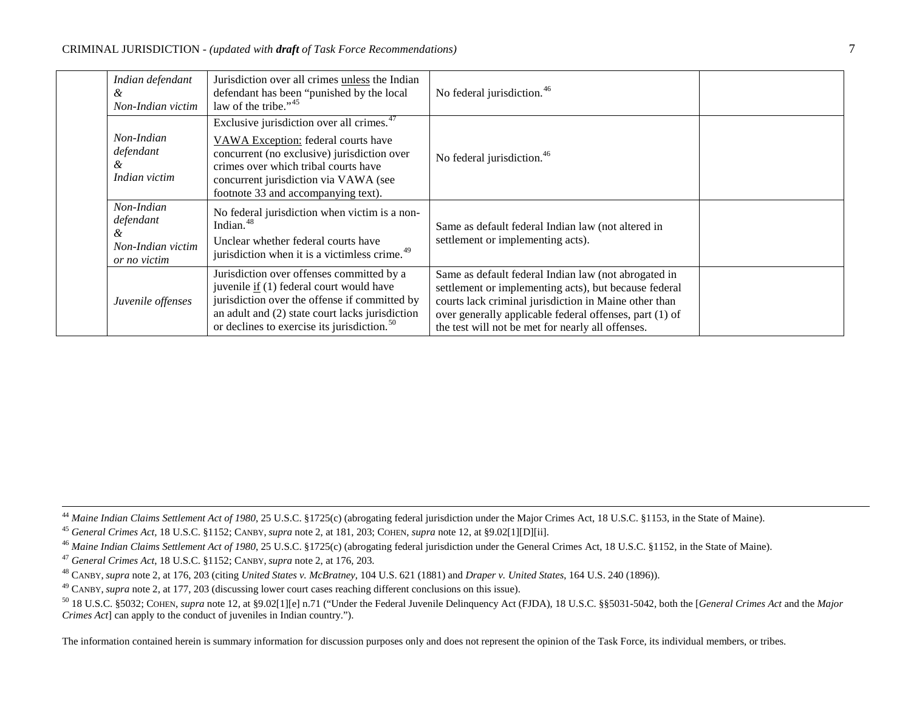<span id="page-6-6"></span><span id="page-6-5"></span><span id="page-6-4"></span><span id="page-6-3"></span><span id="page-6-2"></span><span id="page-6-1"></span><span id="page-6-0"></span>

| Indian defendant<br>&<br>Non-Indian victim                        | Jurisdiction over all crimes unless the Indian<br>defendant has been "punished by the local<br>law of the tribe." <sup>45</sup>                                                                                                                                     | No federal jurisdiction. <sup>46</sup>                                                                                                                                                                                                                                                 |  |
|-------------------------------------------------------------------|---------------------------------------------------------------------------------------------------------------------------------------------------------------------------------------------------------------------------------------------------------------------|----------------------------------------------------------------------------------------------------------------------------------------------------------------------------------------------------------------------------------------------------------------------------------------|--|
| Non-Indian<br>defendant<br>ά<br>Indian victim                     | Exclusive jurisdiction over all crimes. <sup>47</sup><br>VAWA Exception: federal courts have<br>concurrent (no exclusive) jurisdiction over<br>crimes over which tribal courts have<br>concurrent jurisdiction via VAWA (see<br>footnote 33 and accompanying text). | No federal jurisdiction. <sup>46</sup>                                                                                                                                                                                                                                                 |  |
| Non-Indian<br>defendant<br>&<br>Non-Indian victim<br>or no victim | No federal jurisdiction when victim is a non-<br>Indian. <sup>48</sup><br>Unclear whether federal courts have<br>jurisdiction when it is a victimless crime. <sup>49</sup>                                                                                          | Same as default federal Indian law (not altered in<br>settlement or implementing acts).                                                                                                                                                                                                |  |
| Juvenile offenses                                                 | Jurisdiction over offenses committed by a<br>juvenile if (1) federal court would have<br>jurisdiction over the offense if committed by<br>an adult and (2) state court lacks jurisdiction<br>or declines to exercise its jurisdiction. <sup>50</sup>                | Same as default federal Indian law (not abrogated in<br>settlement or implementing acts), but because federal<br>courts lack criminal jurisdiction in Maine other than<br>over generally applicable federal offenses, part (1) of<br>the test will not be met for nearly all offenses. |  |

<sup>44</sup> Maine Indian Claims Settlement Act of 1980, 25 U.S.C. §1725(c) (abrogating federal jurisdiction under the Major Crimes Act, 18 U.S.C. §1153, in the State of Maine).

<sup>45</sup> *General Crimes Act,* 18 U.S.C. §1152; CANBY, *supra* note [2,](#page-0-0) at 181, 203; COHEN, *supra* not[e 12,](#page-1-0) at §9.02[1][D][ii].

<sup>46</sup> Maine Indian Claims Settlement Act of 1980, 25 U.S.C. §1725(c) (abrogating federal jurisdiction under the General Crimes Act, 18 U.S.C. §1152, in the State of Maine).

<sup>47</sup> *General Crimes Act*, 18 U.S.C. §1152; CANBY, *supra* note [2,](#page-0-0) at 176, 203.

<sup>48</sup> CANBY, supra not[e 2,](#page-0-0) at 176, 203 (citing *United States v. McBratney*, 104 U.S. 621 (1881) and *Draper v. United States*, 164 U.S. 240 (1896)).<br><sup>49</sup> CANBY, supra note 2, at 177, 203 (discussing lower court cases reac

<sup>50</sup> 18 U.S.C. §5032; COHEN, *supra* not[e 12,](#page-1-0) at §9.02[1][e] n.71 ("Under the Federal Juvenile Delinquency Act (FJDA), 18 U.S.C. §§5031-5042, both the [*General Crimes Act* and the *Major Crimes Act*] can apply to the conduct of juveniles in Indian country.").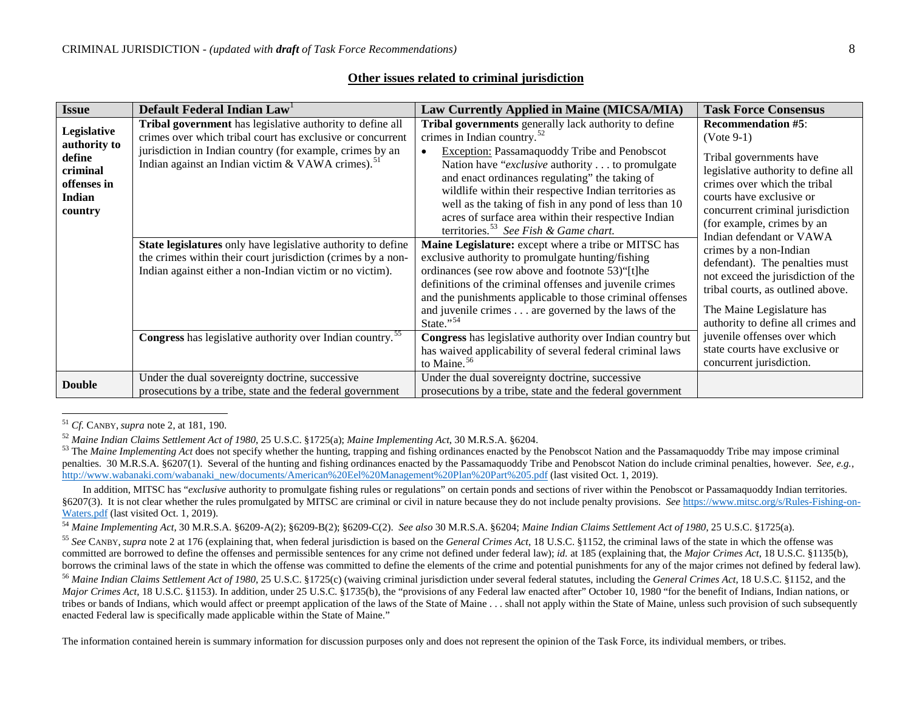| Issue                                                                                 | Default Federal Indian Law                                                                                                                                                                                                                            | Law Currently Applied in Maine (MICSA/MIA)                                                                                                                                                                                                                                                                                                                                                                                                                                                        | <b>Task Force Consensus</b>                                                                                                                                                                                                               |
|---------------------------------------------------------------------------------------|-------------------------------------------------------------------------------------------------------------------------------------------------------------------------------------------------------------------------------------------------------|---------------------------------------------------------------------------------------------------------------------------------------------------------------------------------------------------------------------------------------------------------------------------------------------------------------------------------------------------------------------------------------------------------------------------------------------------------------------------------------------------|-------------------------------------------------------------------------------------------------------------------------------------------------------------------------------------------------------------------------------------------|
| Legislative<br>authority to<br>define<br>criminal<br>offenses in<br>Indian<br>country | Tribal government has legislative authority to define all<br>crimes over which tribal court has exclusive or concurrent<br>jurisdiction in Indian country (for example, crimes by an<br>Indian against an Indian victim & VAWA crimes). <sup>51</sup> | Tribal governments generally lack authority to define<br>crimes in Indian country. $52$<br>Exception: Passamaquoddy Tribe and Penobscot<br>$\bullet$<br>Nation have " <i>exclusive</i> authority to promulgate<br>and enact ordinances regulating" the taking of<br>wildlife within their respective Indian territories as<br>well as the taking of fish in any pond of less than 10<br>acres of surface area within their respective Indian<br>territories. <sup>53</sup> See Fish & Game chart. | <b>Recommendation #5:</b><br>$(Note 9-1)$<br>Tribal governments have<br>legislative authority to define all<br>crimes over which the tribal<br>courts have exclusive or<br>concurrent criminal jurisdiction<br>(for example, crimes by an |
|                                                                                       | State legislatures only have legislative authority to define<br>the crimes within their court jurisdiction (crimes by a non-<br>Indian against either a non-Indian victim or no victim).                                                              | Maine Legislature: except where a tribe or MITSC has<br>exclusive authority to promulgate hunting/fishing<br>ordinances (see row above and footnote 53)"[t]he<br>definitions of the criminal offenses and juvenile crimes<br>and the punishments applicable to those criminal offenses<br>and juvenile crimes are governed by the laws of the<br>State."54                                                                                                                                        | Indian defendant or VAWA<br>crimes by a non-Indian<br>defendant). The penalties must<br>not exceed the jurisdiction of the<br>tribal courts, as outlined above.<br>The Maine Legislature has<br>authority to define all crimes and        |
|                                                                                       | Congress has legislative authority over Indian country. <sup>55</sup>                                                                                                                                                                                 | Congress has legislative authority over Indian country but<br>has waived applicability of several federal criminal laws<br>to Maine. <sup>56</sup>                                                                                                                                                                                                                                                                                                                                                | juvenile offenses over which<br>state courts have exclusive or<br>concurrent jurisdiction.                                                                                                                                                |
| <b>Double</b>                                                                         | Under the dual sovereignty doctrine, successive<br>prosecutions by a tribe, state and the federal government                                                                                                                                          | Under the dual sovereignty doctrine, successive<br>prosecutions by a tribe, state and the federal government                                                                                                                                                                                                                                                                                                                                                                                      |                                                                                                                                                                                                                                           |

## <span id="page-7-6"></span><span id="page-7-5"></span><span id="page-7-4"></span><span id="page-7-3"></span><span id="page-7-2"></span><span id="page-7-1"></span><span id="page-7-0"></span>**Other issues related to criminal jurisdiction**

<sup>&</sup>lt;sup>51</sup> *Cf.* CANBY, *supra* not[e 2,](#page-0-0) at 181, 190.<br><sup>52</sup> Maine Indian Claims Settlement Act of 1980, 25 U.S.C. §1725(a); Maine Implementing Act, 30 M.R.S.A. §6204.

<sup>&</sup>lt;sup>53</sup> The *Maine Implementing Act* does not specify whether the hunting, trapping and fishing ordinances enacted by the Penobscot Nation and the Passamaquoddy Tribe may impose criminal penalties. 30 M.R.S.A. §6207(1). Several of the hunting and fishing ordinances enacted by the Passamaguoddy Tribe and Penobscot Nation do include criminal penalties, however. *See, e.g.*, [http://www.wabanaki.com/wabanaki\\_new/documents/American%20Eel%20Management%20Plan%20Part%205.pdf](http://www.wabanaki.com/wabanaki_new/documents/American%20Eel%20Management%20Plan%20Part%205.pdf) (last visited Oct. 1, 2019).

In addition, MITSC has "*exclusive* authority to promulgate fishing rules or regulations" on certain ponds and sections of river within the Penobscot or Passamaquoddy Indian territories. §6207(3). It is not clear whether the rules promulgated by MITSC are criminal or civil in nature because they do not include penalty provisions. *See* [https://www.mitsc.org/s/Rules-Fishing-on-](https://www.mitsc.org/s/Rules-Fishing-on-Waters.pdf)[Waters.pdf](https://www.mitsc.org/s/Rules-Fishing-on-Waters.pdf) (last visited Oct. 1, 2019).

<sup>54</sup> *Maine Implementing Act*, 30 M.R.S.A. §6209-A(2); §6209-B(2); §6209-C(2). *See also* 30 M.R.S.A. §6204; *Maine Indian Claims Settlement Act of 1980*, 25 U.S.C. §1725(a).

<sup>55</sup> *See* CANBY, *supra* not[e 2](#page-0-0) at 176 (explaining that, when federal jurisdiction is based on the *General Crimes Act*, 18 U.S.C. §1152, the criminal laws of the state in which the offense was committed are borrowed to define the offenses and permissible sentences for any crime not defined under federal law); *id.* at 185 (explaining that, the *Major Crimes Act*, 18 U.S.C. §1135(b), borrows the criminal laws of the state in which the offense was committed to define the elements of the crime and potential punishments for any of the major crimes not defined by federal law).

<sup>56</sup> *Maine Indian Claims Settlement Act of 1980*, 25 U.S.C. §1725(c) (waiving criminal jurisdiction under several federal statutes, including the *General Crimes Act*, 18 U.S.C. §1152, and the *Major Crimes Act*, 18 U.S.C. §1153). In addition, under 25 U.S.C. §1735(b), the "provisions of any Federal law enacted after" October 10, 1980 "for the benefit of Indians, Indian nations, or tribes or bands of Indians, which would affect or preempt application of the laws of the State of Maine . . . shall not apply within the State of Maine, unless such provision of such subsequently enacted Federal law is specifically made applicable within the State of Maine."